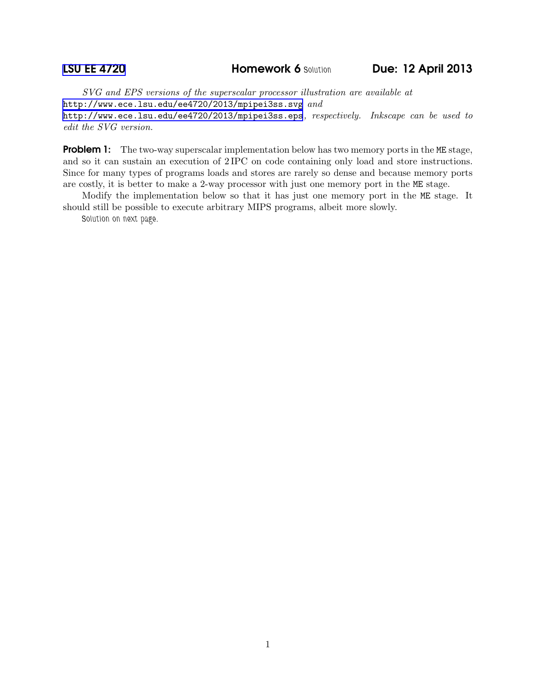*SVG and EPS versions of the superscalar processor illustration are available at* <http://www.ece.lsu.edu/ee4720/2013/mpipei3ss.svg> *and* <http://www.ece.lsu.edu/ee4720/2013/mpipei3ss.eps>*, respectively. Inkscape can be used to edit the SVG version.*

**Problem 1:** The two-way superscalar implementation below has two memory ports in the ME stage, and so it can sustain an execution of 2 IPC on code containing only load and store instructions. Since for many types of programs loads and stores are rarely so dense and because memory ports are costly, it is better to make a 2-way processor with just one memory port in the ME stage.

Modify the implementation below so that it has just one memory port in the ME stage. It should still be possible to execute arbitrary MIPS programs, albeit more slowly.

Solution on next page.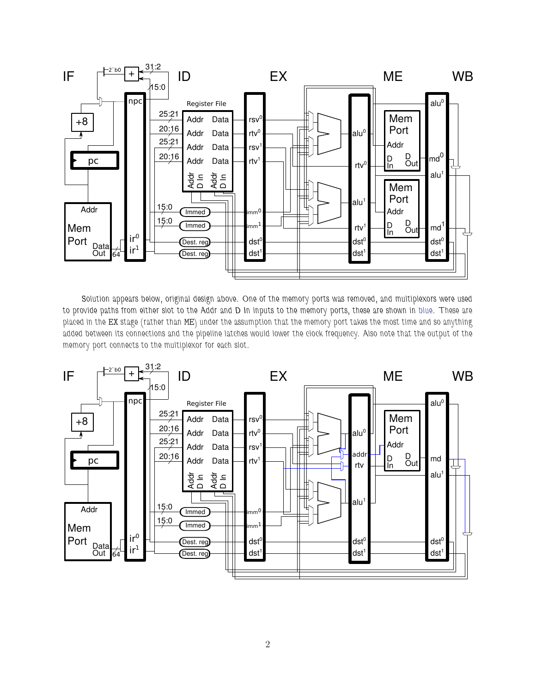

Solution appears below, original design above. One of the memory ports was removed, and multiplexors were used to provide paths from either slot to the Addr and D In inputs to the memory ports, these are shown in blue. These are placed in the EX stage (rather than ME) under the assumption that the memory port takes the most time and so anything added between its connections and the pipeline latches would lower the clock frequency. Also note that the output of the memory port connects to the multiplexor for each slot.